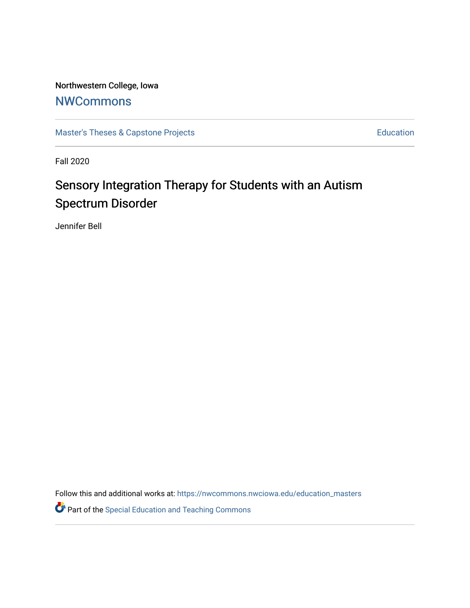Northwestern College, Iowa

## **[NWCommons](https://nwcommons.nwciowa.edu/)**

[Master's Theses & Capstone Projects](https://nwcommons.nwciowa.edu/education_masters) **Education** Education

Fall 2020

# Sensory Integration Therapy for Students with an Autism Spectrum Disorder

Jennifer Bell

Follow this and additional works at: [https://nwcommons.nwciowa.edu/education\\_masters](https://nwcommons.nwciowa.edu/education_masters?utm_source=nwcommons.nwciowa.edu%2Feducation_masters%2F251&utm_medium=PDF&utm_campaign=PDFCoverPages)

**P** Part of the Special Education and Teaching Commons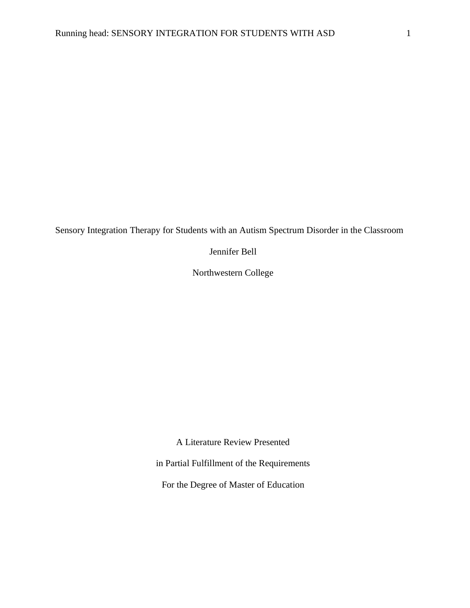Sensory Integration Therapy for Students with an Autism Spectrum Disorder in the Classroom

Jennifer Bell

Northwestern College

A Literature Review Presented

in Partial Fulfillment of the Requirements

For the Degree of Master of Education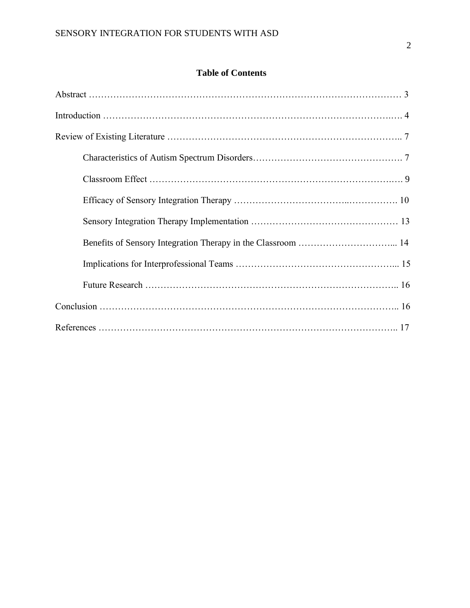### **Table of Contents**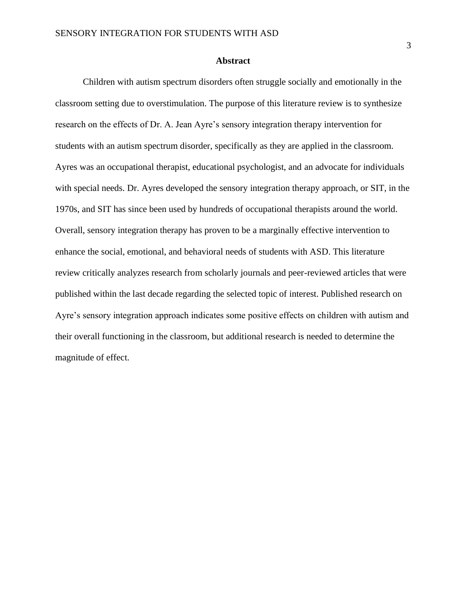#### **Abstract**

Children with autism spectrum disorders often struggle socially and emotionally in the classroom setting due to overstimulation. The purpose of this literature review is to synthesize research on the effects of Dr. A. Jean Ayre's sensory integration therapy intervention for students with an autism spectrum disorder, specifically as they are applied in the classroom. Ayres was an occupational therapist, educational psychologist, and an advocate for individuals with special needs. Dr. Ayres developed the sensory integration therapy approach, or SIT, in the 1970s, and SIT has since been used by hundreds of occupational therapists around the world. Overall, sensory integration therapy has proven to be a marginally effective intervention to enhance the social, emotional, and behavioral needs of students with ASD. This literature review critically analyzes research from scholarly journals and peer-reviewed articles that were published within the last decade regarding the selected topic of interest. Published research on Ayre's sensory integration approach indicates some positive effects on children with autism and their overall functioning in the classroom, but additional research is needed to determine the magnitude of effect.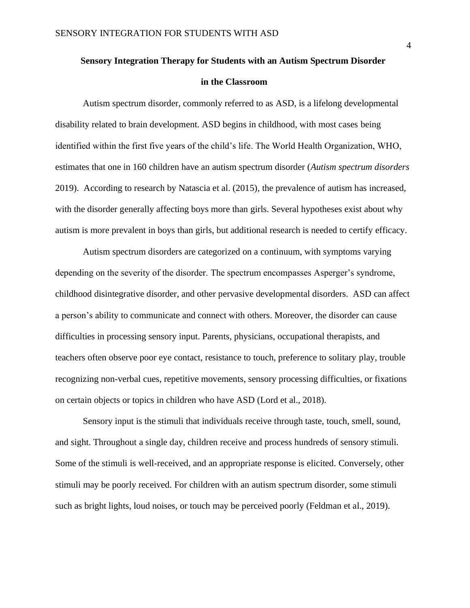# **Sensory Integration Therapy for Students with an Autism Spectrum Disorder in the Classroom**

Autism spectrum disorder, commonly referred to as ASD, is a lifelong developmental disability related to brain development. ASD begins in childhood, with most cases being identified within the first five years of the child's life. The World Health Organization, WHO, estimates that one in 160 children have an autism spectrum disorder (*Autism spectrum disorders* 2019). According to research by Natascia et al. (2015), the prevalence of autism has increased, with the disorder generally affecting boys more than girls. Several hypotheses exist about why autism is more prevalent in boys than girls, but additional research is needed to certify efficacy.

Autism spectrum disorders are categorized on a continuum, with symptoms varying depending on the severity of the disorder. The spectrum encompasses Asperger's syndrome, childhood disintegrative disorder, and other pervasive developmental disorders. ASD can affect a person's ability to communicate and connect with others. Moreover, the disorder can cause difficulties in processing sensory input. Parents, physicians, occupational therapists, and teachers often observe poor eye contact, resistance to touch, preference to solitary play, trouble recognizing non-verbal cues, repetitive movements, sensory processing difficulties, or fixations on certain objects or topics in children who have ASD (Lord et al., 2018).

Sensory input is the stimuli that individuals receive through taste, touch, smell, sound, and sight. Throughout a single day, children receive and process hundreds of sensory stimuli. Some of the stimuli is well-received, and an appropriate response is elicited. Conversely, other stimuli may be poorly received. For children with an autism spectrum disorder, some stimuli such as bright lights, loud noises, or touch may be perceived poorly (Feldman et al., 2019).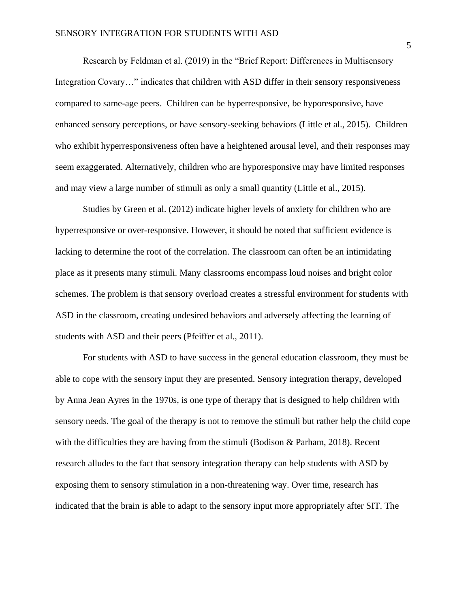Research by Feldman et al. (2019) in the "Brief Report: Differences in Multisensory Integration Covary…" indicates that children with ASD differ in their sensory responsiveness compared to same-age peers. Children can be hyperresponsive, be hyporesponsive, have enhanced sensory perceptions, or have sensory-seeking behaviors (Little et al., 2015). Children who exhibit hyperresponsiveness often have a heightened arousal level, and their responses may seem exaggerated. Alternatively, children who are hyporesponsive may have limited responses and may view a large number of stimuli as only a small quantity (Little et al., 2015).

Studies by Green et al. (2012) indicate higher levels of anxiety for children who are hyperresponsive or over-responsive. However, it should be noted that sufficient evidence is lacking to determine the root of the correlation. The classroom can often be an intimidating place as it presents many stimuli. Many classrooms encompass loud noises and bright color schemes. The problem is that sensory overload creates a stressful environment for students with ASD in the classroom, creating undesired behaviors and adversely affecting the learning of students with ASD and their peers (Pfeiffer et al., 2011).

For students with ASD to have success in the general education classroom, they must be able to cope with the sensory input they are presented. Sensory integration therapy, developed by Anna Jean Ayres in the 1970s, is one type of therapy that is designed to help children with sensory needs. The goal of the therapy is not to remove the stimuli but rather help the child cope with the difficulties they are having from the stimuli (Bodison & Parham, 2018). Recent research alludes to the fact that sensory integration therapy can help students with ASD by exposing them to sensory stimulation in a non-threatening way. Over time, research has indicated that the brain is able to adapt to the sensory input more appropriately after SIT. The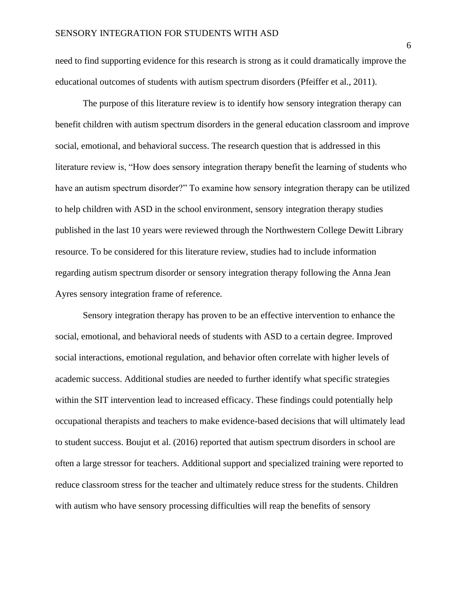need to find supporting evidence for this research is strong as it could dramatically improve the educational outcomes of students with autism spectrum disorders (Pfeiffer et al., 2011).

The purpose of this literature review is to identify how sensory integration therapy can benefit children with autism spectrum disorders in the general education classroom and improve social, emotional, and behavioral success. The research question that is addressed in this literature review is, "How does sensory integration therapy benefit the learning of students who have an autism spectrum disorder?" To examine how sensory integration therapy can be utilized to help children with ASD in the school environment, sensory integration therapy studies published in the last 10 years were reviewed through the Northwestern College Dewitt Library resource. To be considered for this literature review, studies had to include information regarding autism spectrum disorder or sensory integration therapy following the Anna Jean Ayres sensory integration frame of reference.

Sensory integration therapy has proven to be an effective intervention to enhance the social, emotional, and behavioral needs of students with ASD to a certain degree. Improved social interactions, emotional regulation, and behavior often correlate with higher levels of academic success. Additional studies are needed to further identify what specific strategies within the SIT intervention lead to increased efficacy. These findings could potentially help occupational therapists and teachers to make evidence-based decisions that will ultimately lead to student success. Boujut et al. (2016) reported that autism spectrum disorders in school are often a large stressor for teachers. Additional support and specialized training were reported to reduce classroom stress for the teacher and ultimately reduce stress for the students. Children with autism who have sensory processing difficulties will reap the benefits of sensory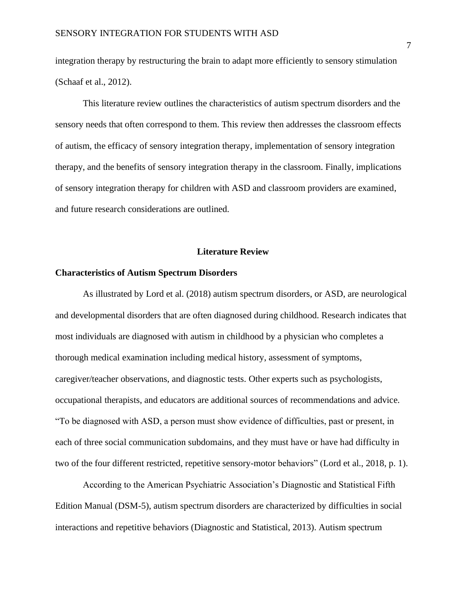integration therapy by restructuring the brain to adapt more efficiently to sensory stimulation (Schaaf et al., 2012).

This literature review outlines the characteristics of autism spectrum disorders and the sensory needs that often correspond to them. This review then addresses the classroom effects of autism, the efficacy of sensory integration therapy, implementation of sensory integration therapy, and the benefits of sensory integration therapy in the classroom. Finally, implications of sensory integration therapy for children with ASD and classroom providers are examined, and future research considerations are outlined.

#### **Literature Review**

#### **Characteristics of Autism Spectrum Disorders**

As illustrated by Lord et al. (2018) autism spectrum disorders, or ASD, are neurological and developmental disorders that are often diagnosed during childhood. Research indicates that most individuals are diagnosed with autism in childhood by a physician who completes a thorough medical examination including medical history, assessment of symptoms, caregiver/teacher observations, and diagnostic tests. Other experts such as psychologists, occupational therapists, and educators are additional sources of recommendations and advice. "To be diagnosed with ASD, a person must show evidence of difficulties, past or present, in each of three social communication subdomains, and they must have or have had difficulty in two of the four different restricted, repetitive sensory-motor behaviors" (Lord et al., 2018, p. 1).

According to the American Psychiatric Association's Diagnostic and Statistical Fifth Edition Manual (DSM-5), autism spectrum disorders are characterized by difficulties in social interactions and repetitive behaviors (Diagnostic and Statistical, 2013). Autism spectrum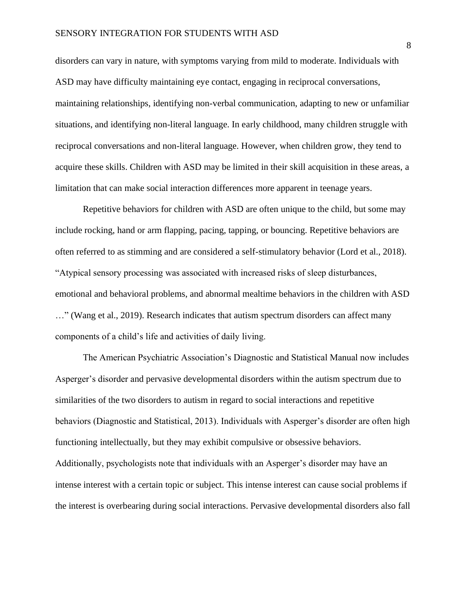disorders can vary in nature, with symptoms varying from mild to moderate. Individuals with ASD may have difficulty maintaining eye contact, engaging in reciprocal conversations, maintaining relationships, identifying non-verbal communication, adapting to new or unfamiliar situations, and identifying non-literal language. In early childhood, many children struggle with reciprocal conversations and non-literal language. However, when children grow, they tend to acquire these skills. Children with ASD may be limited in their skill acquisition in these areas, a limitation that can make social interaction differences more apparent in teenage years.

Repetitive behaviors for children with ASD are often unique to the child, but some may include rocking, hand or arm flapping, pacing, tapping, or bouncing. Repetitive behaviors are often referred to as stimming and are considered a self-stimulatory behavior (Lord et al., 2018). "Atypical sensory processing was associated with increased risks of sleep disturbances, emotional and behavioral problems, and abnormal mealtime behaviors in the children with ASD …" (Wang et al., 2019). Research indicates that autism spectrum disorders can affect many components of a child's life and activities of daily living.

The American Psychiatric Association's Diagnostic and Statistical Manual now includes Asperger's disorder and pervasive developmental disorders within the autism spectrum due to similarities of the two disorders to autism in regard to social interactions and repetitive behaviors (Diagnostic and Statistical, 2013). Individuals with Asperger's disorder are often high functioning intellectually, but they may exhibit compulsive or obsessive behaviors. Additionally, psychologists note that individuals with an Asperger's disorder may have an intense interest with a certain topic or subject. This intense interest can cause social problems if the interest is overbearing during social interactions. Pervasive developmental disorders also fall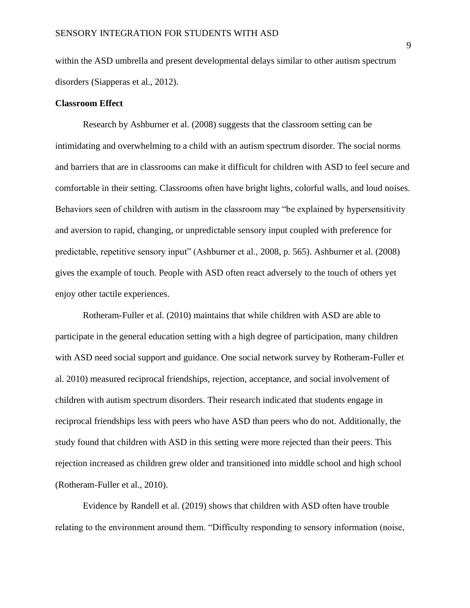within the ASD umbrella and present developmental delays similar to other autism spectrum disorders (Siapperas et al., 2012).

#### **Classroom Effect**

Research by Ashburner et al. (2008) suggests that the classroom setting can be intimidating and overwhelming to a child with an autism spectrum disorder. The social norms and barriers that are in classrooms can make it difficult for children with ASD to feel secure and comfortable in their setting. Classrooms often have bright lights, colorful walls, and loud noises. Behaviors seen of children with autism in the classroom may "be explained by hypersensitivity and aversion to rapid, changing, or unpredictable sensory input coupled with preference for predictable, repetitive sensory input" (Ashburner et al., 2008, p. 565). Ashburner et al. (2008) gives the example of touch. People with ASD often react adversely to the touch of others yet enjoy other tactile experiences.

Rotheram-Fuller et al. (2010) maintains that while children with ASD are able to participate in the general education setting with a high degree of participation, many children with ASD need social support and guidance. One social network survey by Rotheram-Fuller et al. 2010) measured reciprocal friendships, rejection, acceptance, and social involvement of children with autism spectrum disorders. Their research indicated that students engage in reciprocal friendships less with peers who have ASD than peers who do not. Additionally, the study found that children with ASD in this setting were more rejected than their peers. This rejection increased as children grew older and transitioned into middle school and high school (Rotheram-Fuller et al., 2010).

Evidence by Randell et al. (2019) shows that children with ASD often have trouble relating to the environment around them. "Difficulty responding to sensory information (noise,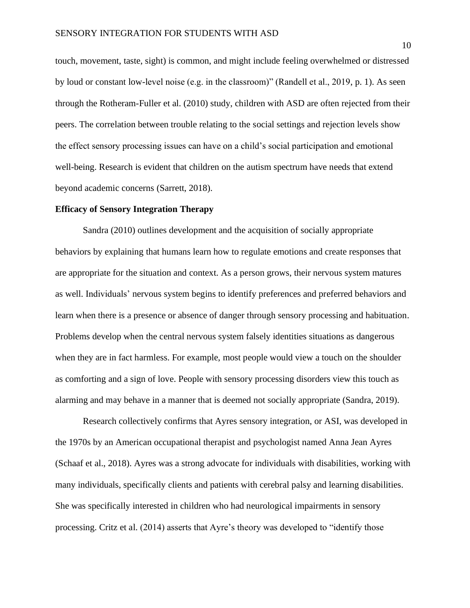touch, movement, taste, sight) is common, and might include feeling overwhelmed or distressed by loud or constant low-level noise (e.g. in the classroom)" (Randell et al., 2019, p. 1). As seen through the Rotheram-Fuller et al. (2010) study, children with ASD are often rejected from their peers. The correlation between trouble relating to the social settings and rejection levels show the effect sensory processing issues can have on a child's social participation and emotional well-being. Research is evident that children on the autism spectrum have needs that extend beyond academic concerns (Sarrett, 2018).

#### **Efficacy of Sensory Integration Therapy**

Sandra (2010) outlines development and the acquisition of socially appropriate behaviors by explaining that humans learn how to regulate emotions and create responses that are appropriate for the situation and context. As a person grows, their nervous system matures as well. Individuals' nervous system begins to identify preferences and preferred behaviors and learn when there is a presence or absence of danger through sensory processing and habituation. Problems develop when the central nervous system falsely identities situations as dangerous when they are in fact harmless. For example, most people would view a touch on the shoulder as comforting and a sign of love. People with sensory processing disorders view this touch as alarming and may behave in a manner that is deemed not socially appropriate (Sandra, 2019).

Research collectively confirms that Ayres sensory integration, or ASI, was developed in the 1970s by an American occupational therapist and psychologist named Anna Jean Ayres (Schaaf et al., 2018). Ayres was a strong advocate for individuals with disabilities, working with many individuals, specifically clients and patients with cerebral palsy and learning disabilities. She was specifically interested in children who had neurological impairments in sensory processing. Critz et al. (2014) asserts that Ayre's theory was developed to "identify those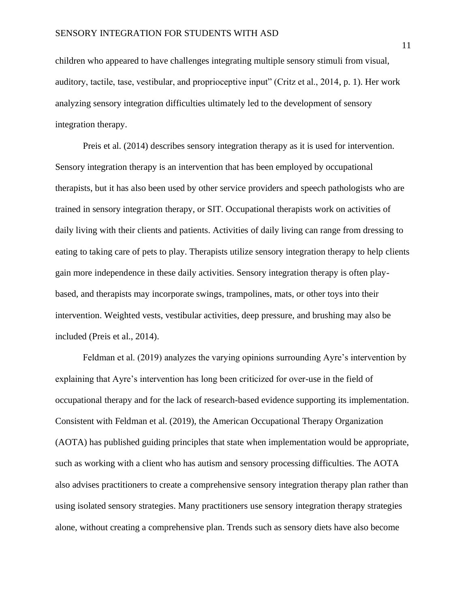children who appeared to have challenges integrating multiple sensory stimuli from visual, auditory, tactile, tase, vestibular, and proprioceptive input" (Critz et al., 2014, p. 1). Her work analyzing sensory integration difficulties ultimately led to the development of sensory integration therapy.

Preis et al. (2014) describes sensory integration therapy as it is used for intervention. Sensory integration therapy is an intervention that has been employed by occupational therapists, but it has also been used by other service providers and speech pathologists who are trained in sensory integration therapy, or SIT. Occupational therapists work on activities of daily living with their clients and patients. Activities of daily living can range from dressing to eating to taking care of pets to play. Therapists utilize sensory integration therapy to help clients gain more independence in these daily activities. Sensory integration therapy is often playbased, and therapists may incorporate swings, trampolines, mats, or other toys into their intervention. Weighted vests, vestibular activities, deep pressure, and brushing may also be included (Preis et al., 2014).

Feldman et al. (2019) analyzes the varying opinions surrounding Ayre's intervention by explaining that Ayre's intervention has long been criticized for over-use in the field of occupational therapy and for the lack of research-based evidence supporting its implementation. Consistent with Feldman et al. (2019), the American Occupational Therapy Organization (AOTA) has published guiding principles that state when implementation would be appropriate, such as working with a client who has autism and sensory processing difficulties. The AOTA also advises practitioners to create a comprehensive sensory integration therapy plan rather than using isolated sensory strategies. Many practitioners use sensory integration therapy strategies alone, without creating a comprehensive plan. Trends such as sensory diets have also become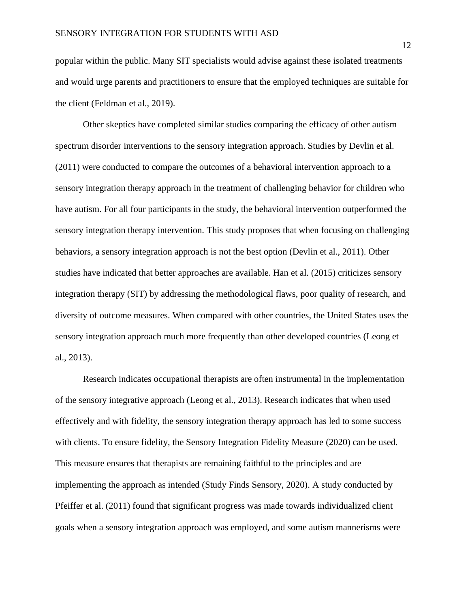popular within the public. Many SIT specialists would advise against these isolated treatments and would urge parents and practitioners to ensure that the employed techniques are suitable for the client (Feldman et al., 2019).

Other skeptics have completed similar studies comparing the efficacy of other autism spectrum disorder interventions to the sensory integration approach. Studies by Devlin et al. (2011) were conducted to compare the outcomes of a behavioral intervention approach to a sensory integration therapy approach in the treatment of challenging behavior for children who have autism. For all four participants in the study, the behavioral intervention outperformed the sensory integration therapy intervention. This study proposes that when focusing on challenging behaviors, a sensory integration approach is not the best option (Devlin et al., 2011). Other studies have indicated that better approaches are available. Han et al. (2015) criticizes sensory integration therapy (SIT) by addressing the methodological flaws, poor quality of research, and diversity of outcome measures. When compared with other countries, the United States uses the sensory integration approach much more frequently than other developed countries (Leong et al., 2013).

Research indicates occupational therapists are often instrumental in the implementation of the sensory integrative approach (Leong et al., 2013). Research indicates that when used effectively and with fidelity, the sensory integration therapy approach has led to some success with clients. To ensure fidelity, the Sensory Integration Fidelity Measure (2020) can be used. This measure ensures that therapists are remaining faithful to the principles and are implementing the approach as intended (Study Finds Sensory, 2020). A study conducted by Pfeiffer et al. (2011) found that significant progress was made towards individualized client goals when a sensory integration approach was employed, and some autism mannerisms were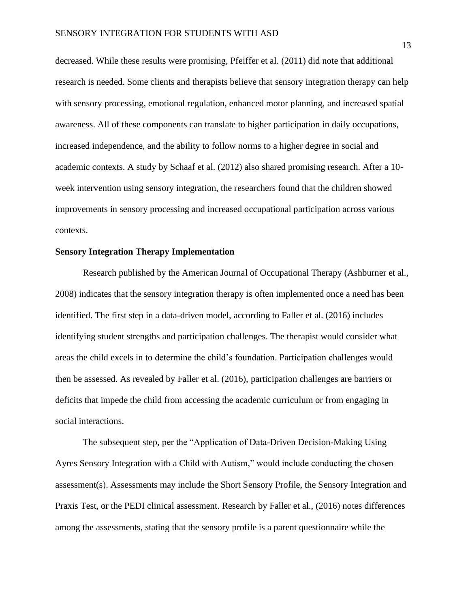decreased. While these results were promising, Pfeiffer et al. (2011) did note that additional research is needed. Some clients and therapists believe that sensory integration therapy can help with sensory processing, emotional regulation, enhanced motor planning, and increased spatial awareness. All of these components can translate to higher participation in daily occupations, increased independence, and the ability to follow norms to a higher degree in social and academic contexts. A study by Schaaf et al. (2012) also shared promising research. After a 10 week intervention using sensory integration, the researchers found that the children showed improvements in sensory processing and increased occupational participation across various contexts.

#### **Sensory Integration Therapy Implementation**

Research published by the American Journal of Occupational Therapy (Ashburner et al., 2008) indicates that the sensory integration therapy is often implemented once a need has been identified. The first step in a data-driven model, according to Faller et al. (2016) includes identifying student strengths and participation challenges. The therapist would consider what areas the child excels in to determine the child's foundation. Participation challenges would then be assessed. As revealed by Faller et al. (2016), participation challenges are barriers or deficits that impede the child from accessing the academic curriculum or from engaging in social interactions.

The subsequent step, per the "Application of Data-Driven Decision-Making Using Ayres Sensory Integration with a Child with Autism," would include conducting the chosen assessment(s). Assessments may include the Short Sensory Profile, the Sensory Integration and Praxis Test, or the PEDI clinical assessment. Research by Faller et al., (2016) notes differences among the assessments, stating that the sensory profile is a parent questionnaire while the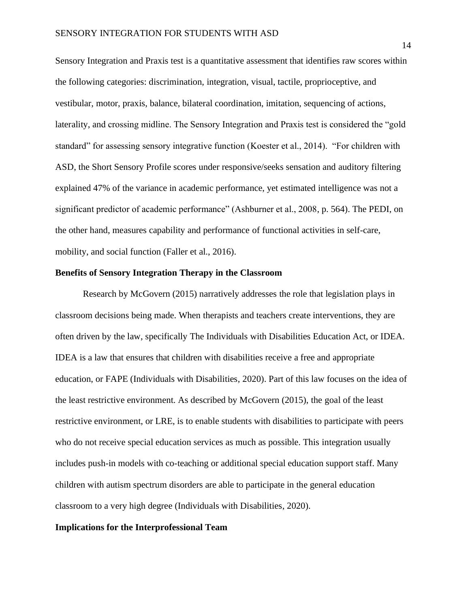Sensory Integration and Praxis test is a quantitative assessment that identifies raw scores within the following categories: discrimination, integration, visual, tactile, proprioceptive, and vestibular, motor, praxis, balance, bilateral coordination, imitation, sequencing of actions, laterality, and crossing midline. The Sensory Integration and Praxis test is considered the "gold standard" for assessing sensory integrative function (Koester et al., 2014). "For children with ASD, the Short Sensory Profile scores under responsive/seeks sensation and auditory filtering explained 47% of the variance in academic performance, yet estimated intelligence was not a significant predictor of academic performance" (Ashburner et al., 2008, p. 564). The PEDI, on the other hand, measures capability and performance of functional activities in self-care, mobility, and social function (Faller et al., 2016).

#### **Benefits of Sensory Integration Therapy in the Classroom**

Research by McGovern (2015) narratively addresses the role that legislation plays in classroom decisions being made. When therapists and teachers create interventions, they are often driven by the law, specifically The Individuals with Disabilities Education Act, or IDEA. IDEA is a law that ensures that children with disabilities receive a free and appropriate education, or FAPE (Individuals with Disabilities, 2020). Part of this law focuses on the idea of the least restrictive environment. As described by McGovern (2015), the goal of the least restrictive environment, or LRE, is to enable students with disabilities to participate with peers who do not receive special education services as much as possible. This integration usually includes push-in models with co-teaching or additional special education support staff. Many children with autism spectrum disorders are able to participate in the general education classroom to a very high degree (Individuals with Disabilities, 2020).

#### **Implications for the Interprofessional Team**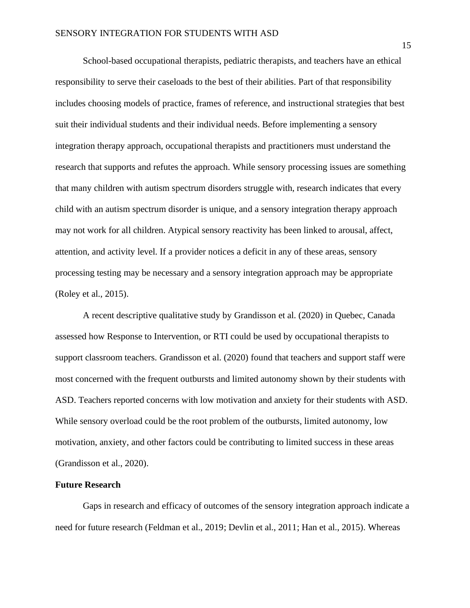School-based occupational therapists, pediatric therapists, and teachers have an ethical responsibility to serve their caseloads to the best of their abilities. Part of that responsibility includes choosing models of practice, frames of reference, and instructional strategies that best suit their individual students and their individual needs. Before implementing a sensory integration therapy approach, occupational therapists and practitioners must understand the research that supports and refutes the approach. While sensory processing issues are something that many children with autism spectrum disorders struggle with, research indicates that every child with an autism spectrum disorder is unique, and a sensory integration therapy approach may not work for all children. Atypical sensory reactivity has been linked to arousal, affect, attention, and activity level. If a provider notices a deficit in any of these areas, sensory processing testing may be necessary and a sensory integration approach may be appropriate (Roley et al., 2015).

A recent descriptive qualitative study by Grandisson et al. (2020) in Quebec, Canada assessed how Response to Intervention, or RTI could be used by occupational therapists to support classroom teachers. Grandisson et al. (2020) found that teachers and support staff were most concerned with the frequent outbursts and limited autonomy shown by their students with ASD. Teachers reported concerns with low motivation and anxiety for their students with ASD. While sensory overload could be the root problem of the outbursts, limited autonomy, low motivation, anxiety, and other factors could be contributing to limited success in these areas (Grandisson et al., 2020).

#### **Future Research**

Gaps in research and efficacy of outcomes of the sensory integration approach indicate a need for future research (Feldman et al., 2019; Devlin et al., 2011; Han et al., 2015). Whereas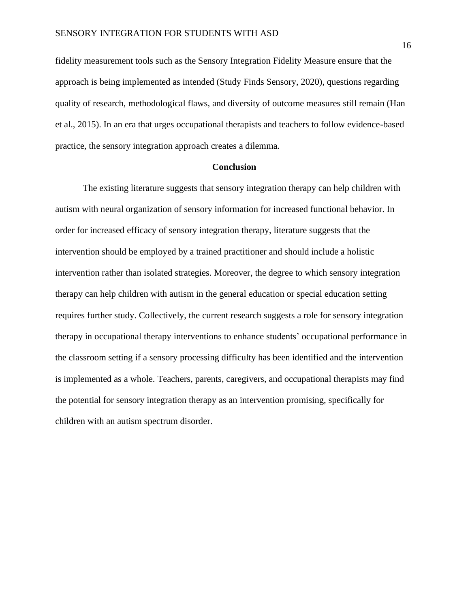fidelity measurement tools such as the Sensory Integration Fidelity Measure ensure that the approach is being implemented as intended (Study Finds Sensory, 2020), questions regarding quality of research, methodological flaws, and diversity of outcome measures still remain (Han et al., 2015). In an era that urges occupational therapists and teachers to follow evidence-based practice, the sensory integration approach creates a dilemma.

#### **Conclusion**

The existing literature suggests that sensory integration therapy can help children with autism with neural organization of sensory information for increased functional behavior. In order for increased efficacy of sensory integration therapy, literature suggests that the intervention should be employed by a trained practitioner and should include a holistic intervention rather than isolated strategies. Moreover, the degree to which sensory integration therapy can help children with autism in the general education or special education setting requires further study. Collectively, the current research suggests a role for sensory integration therapy in occupational therapy interventions to enhance students' occupational performance in the classroom setting if a sensory processing difficulty has been identified and the intervention is implemented as a whole. Teachers, parents, caregivers, and occupational therapists may find the potential for sensory integration therapy as an intervention promising, specifically for children with an autism spectrum disorder.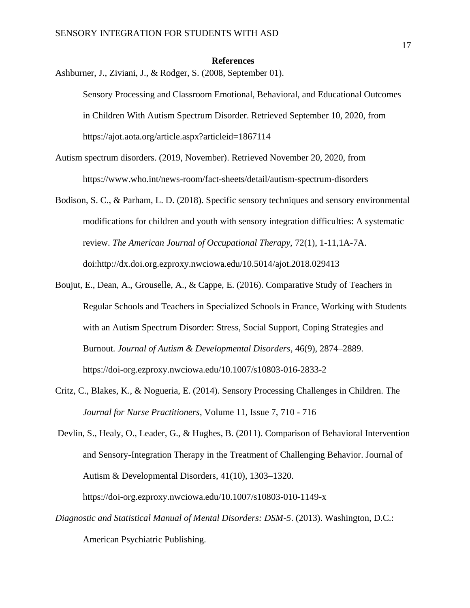#### **References**

Ashburner, J., Ziviani, J., & Rodger, S. (2008, September 01).

- Autism spectrum disorders. (2019, November). Retrieved November 20, 2020, from https://www.who.int/news-room/fact-sheets/detail/autism-spectrum-disorders
- Bodison, S. C., & Parham, L. D. (2018). Specific sensory techniques and sensory environmental modifications for children and youth with sensory integration difficulties: A systematic review. *The American Journal of Occupational Therapy,* 72(1), 1-11,1A-7A. doi:http://dx.doi.org.ezproxy.nwciowa.edu/10.5014/ajot.2018.029413
- Boujut, E., Dean, A., Grouselle, A., & Cappe, E. (2016). Comparative Study of Teachers in Regular Schools and Teachers in Specialized Schools in France, Working with Students with an Autism Spectrum Disorder: Stress, Social Support, Coping Strategies and Burnout. *Journal of Autism & Developmental Disorders*, 46(9), 2874–2889. https://doi-org.ezproxy.nwciowa.edu/10.1007/s10803-016-2833-2
- Critz, C., Blakes, K., & Nogueria, E. (2014). Sensory Processing Challenges in Children. The *Journal for Nurse Practitioners*, Volume 11, Issue 7, 710 - 716

Devlin, S., Healy, O., Leader, G., & Hughes, B. (2011). Comparison of Behavioral Intervention and Sensory-Integration Therapy in the Treatment of Challenging Behavior. Journal of Autism & Developmental Disorders, 41(10), 1303–1320. https://doi-org.ezproxy.nwciowa.edu/10.1007/s10803-010-1149-x

*Diagnostic and Statistical Manual of Mental Disorders: DSM-5*. (2013). Washington, D.C.: American Psychiatric Publishing.

Sensory Processing and Classroom Emotional, Behavioral, and Educational Outcomes in Children With Autism Spectrum Disorder. Retrieved September 10, 2020, from https://ajot.aota.org/article.aspx?articleid=1867114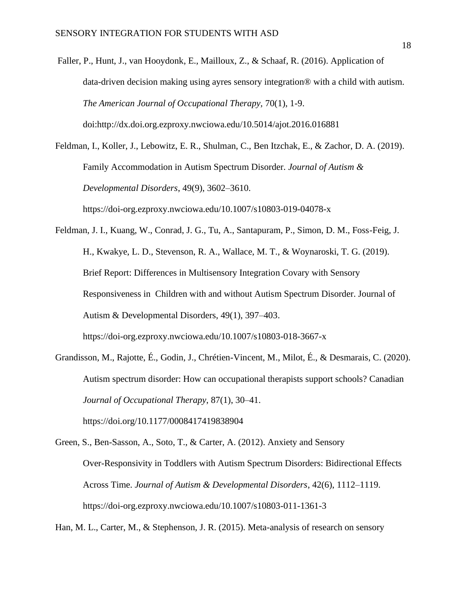Faller, P., Hunt, J., van Hooydonk, E., Mailloux, Z., & Schaaf, R. (2016). Application of data-driven decision making using ayres sensory integration® with a child with autism. *The American Journal of Occupational Therapy,* 70(1), 1-9. doi:http://dx.doi.org.ezproxy.nwciowa.edu/10.5014/ajot.2016.016881

Feldman, I., Koller, J., Lebowitz, E. R., Shulman, C., Ben Itzchak, E., & Zachor, D. A. (2019). Family Accommodation in Autism Spectrum Disorder. *Journal of Autism & Developmental Disorders*, 49(9), 3602–3610. https://doi-org.ezproxy.nwciowa.edu/10.1007/s10803-019-04078-x

Feldman, J. I., Kuang, W., Conrad, J. G., Tu, A., Santapuram, P., Simon, D. M., Foss-Feig, J. H., Kwakye, L. D., Stevenson, R. A., Wallace, M. T., & Woynaroski, T. G. (2019). Brief Report: Differences in Multisensory Integration Covary with Sensory Responsiveness in Children with and without Autism Spectrum Disorder. Journal of Autism & Developmental Disorders, 49(1), 397–403. https://doi-org.ezproxy.nwciowa.edu/10.1007/s10803-018-3667-x

Grandisson, M., Rajotte, É., Godin, J., Chrétien-Vincent, M., Milot, É., & Desmarais, C. (2020). Autism spectrum disorder: How can occupational therapists support schools? Canadian *Journal of Occupational Therapy*, 87(1), 30–41. https://doi.org/10.1177/0008417419838904

Green, S., Ben-Sasson, A., Soto, T., & Carter, A. (2012). Anxiety and Sensory Over-Responsivity in Toddlers with Autism Spectrum Disorders: Bidirectional Effects Across Time. *Journal of Autism & Developmental Disorders*, 42(6), 1112–1119. https://doi-org.ezproxy.nwciowa.edu/10.1007/s10803-011-1361-3

Han, M. L., Carter, M., & Stephenson, J. R. (2015). Meta-analysis of research on sensory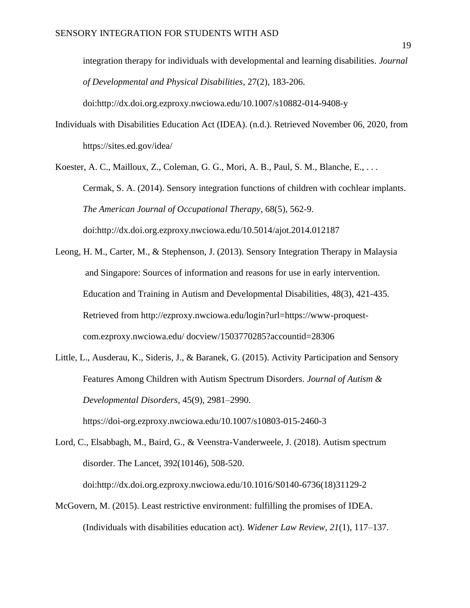integration therapy for individuals with developmental and learning disabilities. *Journal of Developmental and Physical Disabilities*, 27(2), 183-206.

Individuals with Disabilities Education Act (IDEA). (n.d.). Retrieved November 06, 2020, from https://sites.ed.gov/idea/

doi:http://dx.doi.org.ezproxy.nwciowa.edu/10.1007/s10882-014-9408-y

Koester, A. C., Mailloux, Z., Coleman, G. G., Mori, A. B., Paul, S. M., Blanche, E., . . . Cermak, S. A. (2014). Sensory integration functions of children with cochlear implants. *The American Journal of Occupational Therapy*, 68(5), 562-9. doi:http://dx.doi.org.ezproxy.nwciowa.edu/10.5014/ajot.2014.012187

Leong, H. M., Carter, M., & Stephenson, J. (2013). Sensory Integration Therapy in Malaysia and Singapore: Sources of information and reasons for use in early intervention. Education and Training in Autism and Developmental Disabilities, 48(3), 421-435. Retrieved from http://ezproxy.nwciowa.edu/login?url=https://www-proquestcom.ezproxy.nwciowa.edu/ docview/1503770285?accountid=28306

Little, L., Ausderau, K., Sideris, J., & Baranek, G. (2015). Activity Participation and Sensory Features Among Children with Autism Spectrum Disorders. *Journal of Autism & Developmental Disorders*, 45(9), 2981–2990. https://doi-org.ezproxy.nwciowa.edu/10.1007/s10803-015-2460-3

Lord, C., Elsabbagh, M., Baird, G., & Veenstra-Vanderweele, J. (2018). Autism spectrum disorder. The Lancet, 392(10146), 508-520. doi:http://dx.doi.org.ezproxy.nwciowa.edu/10.1016/S0140-6736(18)31129-2

McGovern, M. (2015). Least restrictive environment: fulfilling the promises of IDEA. (Individuals with disabilities education act). *Widener Law Review*, *21*(1), 117–137.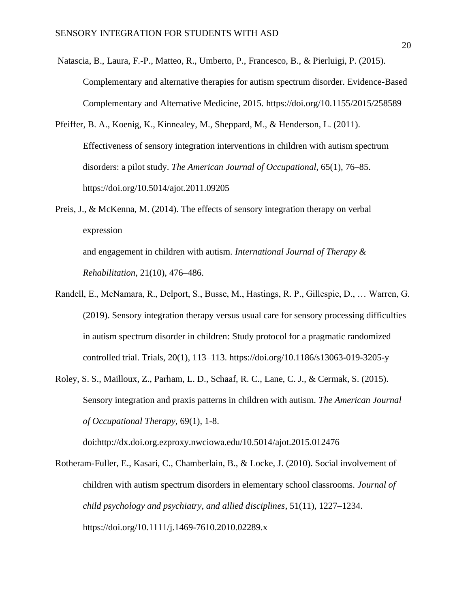- Natascia, B., Laura, F.-P., Matteo, R., Umberto, P., Francesco, B., & Pierluigi, P. (2015). Complementary and alternative therapies for autism spectrum disorder. Evidence-Based Complementary and Alternative Medicine, 2015. https://doi.org/10.1155/2015/258589
- Pfeiffer, B. A., Koenig, K., Kinnealey, M., Sheppard, M., & Henderson, L. (2011). Effectiveness of sensory integration interventions in children with autism spectrum disorders: a pilot study. *The American Journal of Occupational*, 65(1), 76–85. https://doi.org/10.5014/ajot.2011.09205
- Preis, J., & McKenna, M. (2014). The effects of sensory integration therapy on verbal expression

and engagement in children with autism. *International Journal of Therapy & Rehabilitation*, 21(10), 476–486.

- Randell, E., McNamara, R., Delport, S., Busse, M., Hastings, R. P., Gillespie, D., … Warren, G. (2019). Sensory integration therapy versus usual care for sensory processing difficulties in autism spectrum disorder in children: Study protocol for a pragmatic randomized controlled trial. Trials, 20(1), 113–113. https://doi.org/10.1186/s13063-019-3205-y
- Roley, S. S., Mailloux, Z., Parham, L. D., Schaaf, R. C., Lane, C. J., & Cermak, S. (2015). Sensory integration and praxis patterns in children with autism. *The American Journal of Occupational Therapy*, 69(1), 1-8.

doi:http://dx.doi.org.ezproxy.nwciowa.edu/10.5014/ajot.2015.012476

Rotheram-Fuller, E., Kasari, C., Chamberlain, B., & Locke, J. (2010). Social involvement of children with autism spectrum disorders in elementary school classrooms. *Journal of child psychology and psychiatry, and allied disciplines*, 51(11), 1227–1234. https://doi.org/10.1111/j.1469-7610.2010.02289.x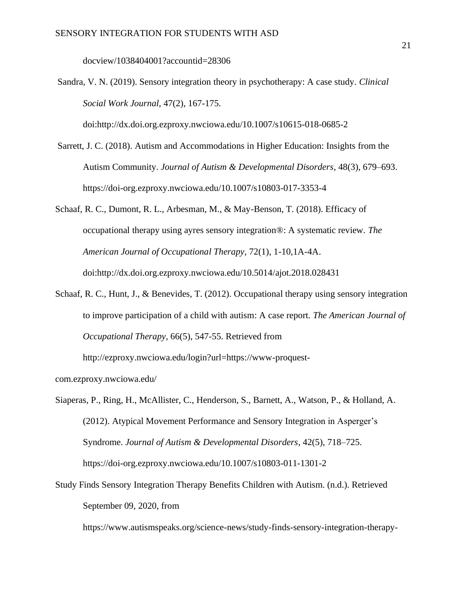docview/1038404001?accountid=28306

Sandra, V. N. (2019). Sensory integration theory in psychotherapy: A case study. *Clinical Social Work Journal*, 47(2), 167-175.

doi:http://dx.doi.org.ezproxy.nwciowa.edu/10.1007/s10615-018-0685-2

- Sarrett, J. C. (2018). Autism and Accommodations in Higher Education: Insights from the Autism Community. *Journal of Autism & Developmental Disorders*, 48(3), 679–693. https://doi-org.ezproxy.nwciowa.edu/10.1007/s10803-017-3353-4
- Schaaf, R. C., Dumont, R. L., Arbesman, M., & May-Benson, T. (2018). Efficacy of occupational therapy using ayres sensory integration®: A systematic review. *The American Journal of Occupational Therapy*, 72(1), 1-10,1A-4A. doi:http://dx.doi.org.ezproxy.nwciowa.edu/10.5014/ajot.2018.028431
- Schaaf, R. C., Hunt, J., & Benevides, T. (2012). Occupational therapy using sensory integration to improve participation of a child with autism: A case report. *The American Journal of Occupational Therapy*, 66(5), 547-55. Retrieved from

http://ezproxy.nwciowa.edu/login?url=https://www-proquest-

com.ezproxy.nwciowa.edu/

Siaperas, P., Ring, H., McAllister, C., Henderson, S., Barnett, A., Watson, P., & Holland, A. (2012). Atypical Movement Performance and Sensory Integration in Asperger's Syndrome. *Journal of Autism & Developmental Disorders*, 42(5), 718–725. https://doi-org.ezproxy.nwciowa.edu/10.1007/s10803-011-1301-2

Study Finds Sensory Integration Therapy Benefits Children with Autism. (n.d.). Retrieved September 09, 2020, from

https://www.autismspeaks.org/science-news/study-finds-sensory-integration-therapy-